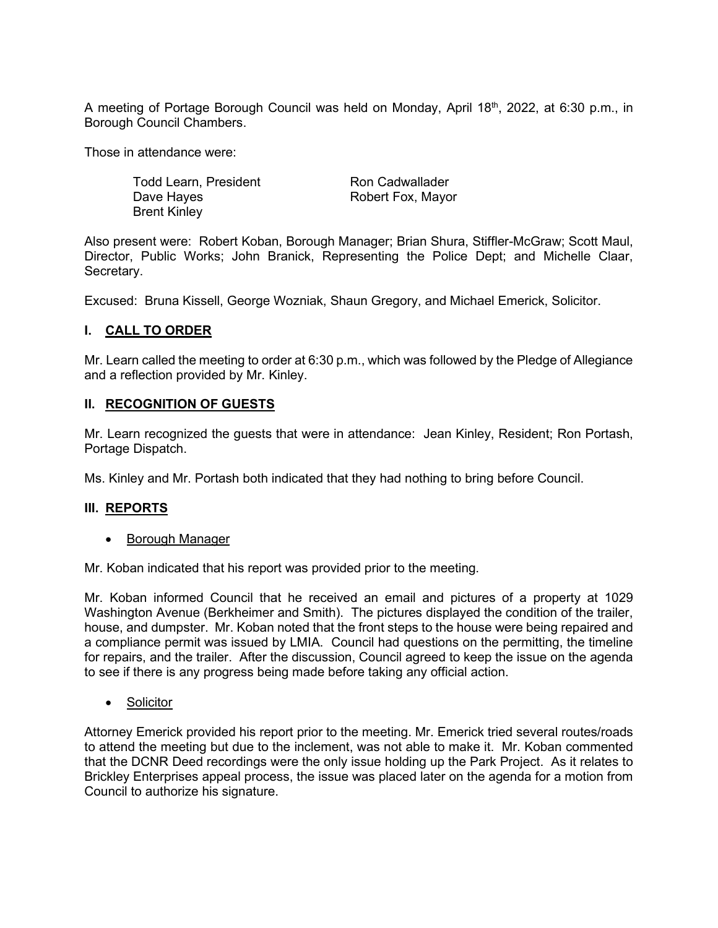A meeting of Portage Borough Council was held on Monday, April 18<sup>th</sup>, 2022, at 6:30 p.m., in Borough Council Chambers.

Those in attendance were:

Todd Learn, President Dave Hayes Brent Kinley

Ron Cadwallader Robert Fox, Mayor

Also present were: Robert Koban, Borough Manager; Brian Shura, Stiffler-McGraw; Scott Maul, Director, Public Works; John Branick, Representing the Police Dept; and Michelle Claar, Secretary.

Excused: Bruna Kissell, George Wozniak, Shaun Gregory, and Michael Emerick, Solicitor.

## **I. CALL TO ORDER**

Mr. Learn called the meeting to order at 6:30 p.m., which was followed by the Pledge of Allegiance and a reflection provided by Mr. Kinley.

#### **II. RECOGNITION OF GUESTS**

Mr. Learn recognized the guests that were in attendance: Jean Kinley, Resident; Ron Portash, Portage Dispatch.

Ms. Kinley and Mr. Portash both indicated that they had nothing to bring before Council.

## **III. REPORTS**

• Borough Manager

Mr. Koban indicated that his report was provided prior to the meeting.

Mr. Koban informed Council that he received an email and pictures of a property at 1029 Washington Avenue (Berkheimer and Smith). The pictures displayed the condition of the trailer, house, and dumpster. Mr. Koban noted that the front steps to the house were being repaired and a compliance permit was issued by LMIA. Council had questions on the permitting, the timeline for repairs, and the trailer. After the discussion, Council agreed to keep the issue on the agenda to see if there is any progress being made before taking any official action.

• Solicitor

Attorney Emerick provided his report prior to the meeting. Mr. Emerick tried several routes/roads to attend the meeting but due to the inclement, was not able to make it. Mr. Koban commented that the DCNR Deed recordings were the only issue holding up the Park Project. As it relates to Brickley Enterprises appeal process, the issue was placed later on the agenda for a motion from Council to authorize his signature.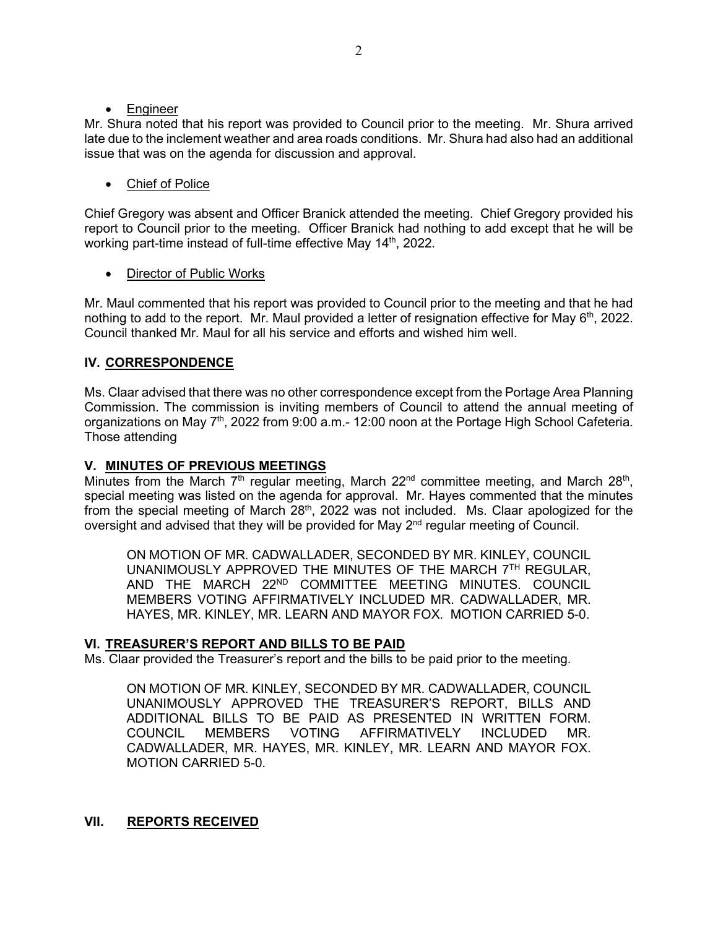#### • Engineer

Mr. Shura noted that his report was provided to Council prior to the meeting. Mr. Shura arrived late due to the inclement weather and area roads conditions. Mr. Shura had also had an additional issue that was on the agenda for discussion and approval.

# • Chief of Police

Chief Gregory was absent and Officer Branick attended the meeting. Chief Gregory provided his report to Council prior to the meeting. Officer Branick had nothing to add except that he will be working part-time instead of full-time effective May 14<sup>th</sup>, 2022.

## Director of Public Works

Mr. Maul commented that his report was provided to Council prior to the meeting and that he had nothing to add to the report. Mr. Maul provided a letter of resignation effective for May  $6<sup>th</sup>$ , 2022. Council thanked Mr. Maul for all his service and efforts and wished him well.

## **IV. CORRESPONDENCE**

Ms. Claar advised that there was no other correspondence except from the Portage Area Planning Commission. The commission is inviting members of Council to attend the annual meeting of organizations on May 7th, 2022 from 9:00 a.m.- 12:00 noon at the Portage High School Cafeteria. Those attending

## **V. MINUTES OF PREVIOUS MEETINGS**

Minutes from the March  $7<sup>th</sup>$  regular meeting, March  $22<sup>nd</sup>$  committee meeting, and March  $28<sup>th</sup>$ , special meeting was listed on the agenda for approval. Mr. Hayes commented that the minutes from the special meeting of March  $28<sup>th</sup>$ , 2022 was not included. Ms. Claar apologized for the oversight and advised that they will be provided for May 2<sup>nd</sup> regular meeting of Council.

ON MOTION OF MR. CADWALLADER, SECONDED BY MR. KINLEY, COUNCIL UNANIMOUSLY APPROVED THE MINUTES OF THE MARCH 7TH REGULAR, AND THE MARCH 22ND COMMITTEE MEETING MINUTES. COUNCIL MEMBERS VOTING AFFIRMATIVELY INCLUDED MR. CADWALLADER, MR. HAYES, MR. KINLEY, MR. LEARN AND MAYOR FOX. MOTION CARRIED 5-0.

## **VI. TREASURER'S REPORT AND BILLS TO BE PAID**

Ms. Claar provided the Treasurer's report and the bills to be paid prior to the meeting.

ON MOTION OF MR. KINLEY, SECONDED BY MR. CADWALLADER, COUNCIL UNANIMOUSLY APPROVED THE TREASURER'S REPORT, BILLS AND ADDITIONAL BILLS TO BE PAID AS PRESENTED IN WRITTEN FORM. COUNCIL MEMBERS VOTING AFFIRMATIVELY INCLUDED MR. CADWALLADER, MR. HAYES, MR. KINLEY, MR. LEARN AND MAYOR FOX. MOTION CARRIED 5-0.

## **VII. REPORTS RECEIVED**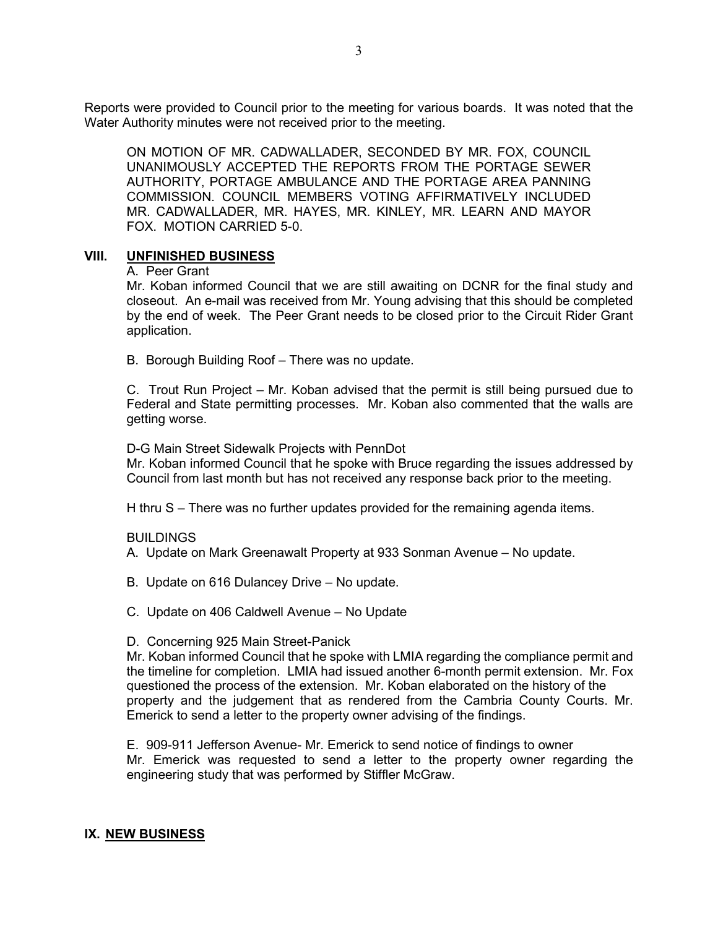Reports were provided to Council prior to the meeting for various boards. It was noted that the Water Authority minutes were not received prior to the meeting.

ON MOTION OF MR. CADWALLADER, SECONDED BY MR. FOX, COUNCIL UNANIMOUSLY ACCEPTED THE REPORTS FROM THE PORTAGE SEWER AUTHORITY, PORTAGE AMBULANCE AND THE PORTAGE AREA PANNING COMMISSION. COUNCIL MEMBERS VOTING AFFIRMATIVELY INCLUDED MR. CADWALLADER, MR. HAYES, MR. KINLEY, MR. LEARN AND MAYOR FOX. MOTION CARRIED 5-0.

#### **VIII. UNFINISHED BUSINESS**

#### A. Peer Grant

Mr. Koban informed Council that we are still awaiting on DCNR for the final study and closeout. An e-mail was received from Mr. Young advising that this should be completed by the end of week. The Peer Grant needs to be closed prior to the Circuit Rider Grant application.

B. Borough Building Roof – There was no update.

C. Trout Run Project – Mr. Koban advised that the permit is still being pursued due to Federal and State permitting processes. Mr. Koban also commented that the walls are getting worse.

D-G Main Street Sidewalk Projects with PennDot

Mr. Koban informed Council that he spoke with Bruce regarding the issues addressed by Council from last month but has not received any response back prior to the meeting.

H thru S – There was no further updates provided for the remaining agenda items.

#### BUILDINGS

A. Update on Mark Greenawalt Property at 933 Sonman Avenue – No update.

- B. Update on 616 Dulancey Drive No update.
- C. Update on 406 Caldwell Avenue No Update
- D. Concerning 925 Main Street-Panick

Mr. Koban informed Council that he spoke with LMIA regarding the compliance permit and the timeline for completion. LMIA had issued another 6-month permit extension. Mr. Fox questioned the process of the extension. Mr. Koban elaborated on the history of the property and the judgement that as rendered from the Cambria County Courts. Mr. Emerick to send a letter to the property owner advising of the findings.

E. 909-911 Jefferson Avenue- Mr. Emerick to send notice of findings to owner Mr. Emerick was requested to send a letter to the property owner regarding the engineering study that was performed by Stiffler McGraw.

## **IX. NEW BUSINESS**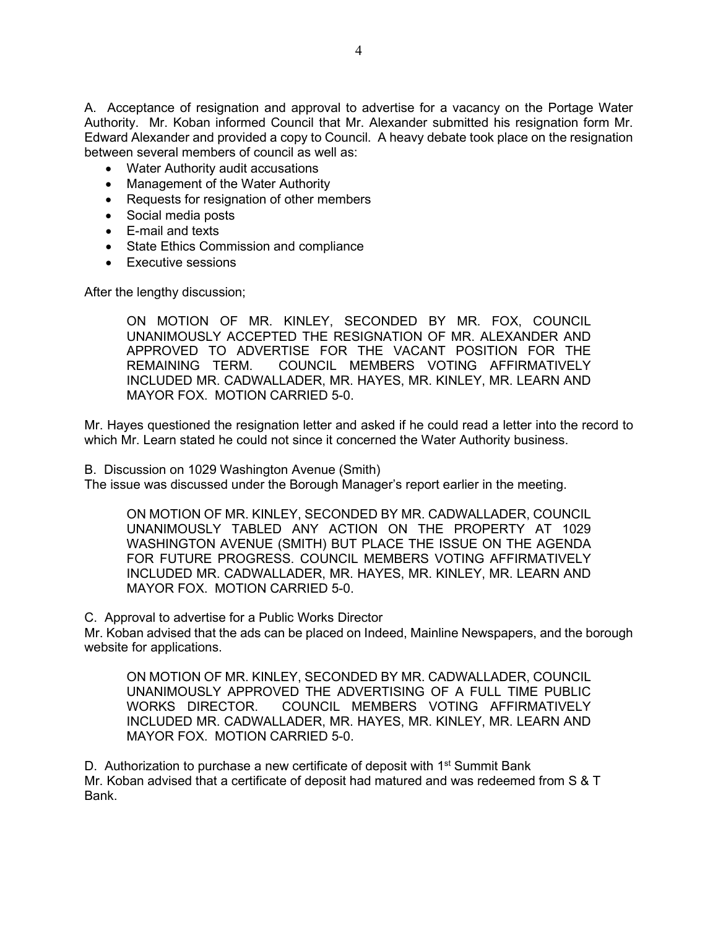A. Acceptance of resignation and approval to advertise for a vacancy on the Portage Water Authority. Mr. Koban informed Council that Mr. Alexander submitted his resignation form Mr. Edward Alexander and provided a copy to Council. A heavy debate took place on the resignation between several members of council as well as:

- Water Authority audit accusations
- Management of the Water Authority
- Requests for resignation of other members
- Social media posts
- E-mail and texts
- State Ethics Commission and compliance
- Executive sessions

After the lengthy discussion;

ON MOTION OF MR. KINLEY, SECONDED BY MR. FOX, COUNCIL UNANIMOUSLY ACCEPTED THE RESIGNATION OF MR. ALEXANDER AND APPROVED TO ADVERTISE FOR THE VACANT POSITION FOR THE REMAINING TERM. COUNCIL MEMBERS VOTING AFFIRMATIVELY INCLUDED MR. CADWALLADER, MR. HAYES, MR. KINLEY, MR. LEARN AND MAYOR FOX. MOTION CARRIED 5-0.

Mr. Hayes questioned the resignation letter and asked if he could read a letter into the record to which Mr. Learn stated he could not since it concerned the Water Authority business.

B. Discussion on 1029 Washington Avenue (Smith)

The issue was discussed under the Borough Manager's report earlier in the meeting.

ON MOTION OF MR. KINLEY, SECONDED BY MR. CADWALLADER, COUNCIL UNANIMOUSLY TABLED ANY ACTION ON THE PROPERTY AT 1029 WASHINGTON AVENUE (SMITH) BUT PLACE THE ISSUE ON THE AGENDA FOR FUTURE PROGRESS. COUNCIL MEMBERS VOTING AFFIRMATIVELY INCLUDED MR. CADWALLADER, MR. HAYES, MR. KINLEY, MR. LEARN AND MAYOR FOX. MOTION CARRIED 5-0.

C. Approval to advertise for a Public Works Director

Mr. Koban advised that the ads can be placed on Indeed, Mainline Newspapers, and the borough website for applications.

ON MOTION OF MR. KINLEY, SECONDED BY MR. CADWALLADER, COUNCIL UNANIMOUSLY APPROVED THE ADVERTISING OF A FULL TIME PUBLIC WORKS DIRECTOR. COUNCIL MEMBERS VOTING AFFIRMATIVELY INCLUDED MR. CADWALLADER, MR. HAYES, MR. KINLEY, MR. LEARN AND MAYOR FOX. MOTION CARRIED 5-0.

D. Authorization to purchase a new certificate of deposit with  $1<sup>st</sup>$  Summit Bank Mr. Koban advised that a certificate of deposit had matured and was redeemed from S & T Bank.